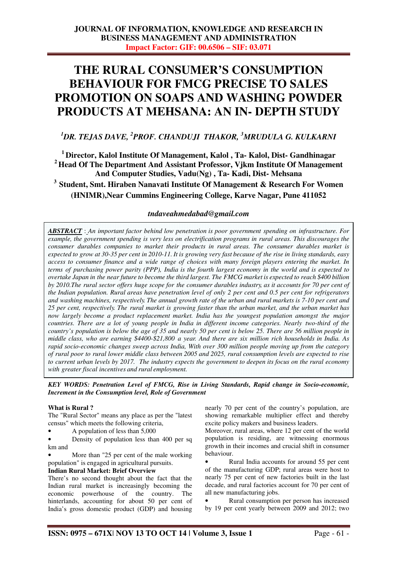# **THE RURAL CONSUMER'S CONSUMPTION BEHAVIOUR FOR FMCG PRECISE TO SALES PROMOTION ON SOAPS AND WASHING POWDER PRODUCTS AT MEHSANA: AN IN- DEPTH STUDY**

# *<sup>1</sup>DR. TEJAS DAVE, <sup>2</sup> PROF. CHANDUJI THAKOR, <sup>3</sup>MRUDULA G. KULKARNI*

**Director, Kalol Institute Of Management, Kalol , Ta- Kalol, Dist- Gandhinagar Head Of The Department And Assistant Professor, Vjkm Institute Of Management And Computer Studies, Vadu(Ng) , Ta- Kadi, Dist- Mehsana Student, Smt. Hiraben Nanavati Institute Of Management & Research For Women** 

**(HNIMR),Near Cummins Engineering College, Karve Nagar, Pune 411052** 

# *tndaveahmedabad@gmail.com*

*ABSTRACT* : *An important factor behind low penetration is poor government spending on infrastructure. For example, the government spending is very less on electrification programs in rural areas. This discourages the consumer durables companies to market their products in rural areas. The consumer durables market is expected to grow at 30-35 per cent in 2010-11. It is growing very fast because of the rise in living standards, easy access to consumer finance and a wide range of choices with many foreign players entering the market. In terms of purchasing power parity (PPP), India is the fourth largest economy in the world and is expected to overtake Japan in the near future to become the third largest. The FMCG market is expected to reach \$400 billion by 2010.The rural sector offers huge scope for the consumer durables industry, as it accounts for 70 per cent of the Indian population. Rural areas have penetration level of only 2 per cent and 0.5 per cent for refrigerators and washing machines, respectively. The annual growth rate of the urban and rural markets is 7-10 per cent and 25 per cent, respectively. The rural market is growing faster than the urban market, and the urban market has now largely become a product replacement market. India has the youngest population amongst the major countries. There are a lot of young people in India in different income categories. Nearly two-third of the country's population is below the age of 35 and nearly 50 per cent is below 25. There are 56 million people in middle class, who are earning \$4400-\$21,800 a year. And there are six million rich households in India. As rapid socio-economic changes sweep across India, With over 300 million people moving up from the category of rural poor to rural lower middle class between 2005 and 2025, rural consumption levels are expected to rise to current urban levels by 2017. The industry expects the government to deepen its focus on the rural economy with greater fiscal incentives and rural employment.* 

*KEY WORDS: Penetration Level of FMCG, Rise in Living Standards, Rapid change in Socio-economic, Increment in the Consumption level, Role of Government* 

## **What is Rural ?**

The "Rural Sector" means any place as per the "latest census" which meets the following criteria,

• A population of less than 5,000

• Density of population less than 400 per sq km and

More than "25 per cent of the male working population" is engaged in agricultural pursuits.

## **Indian Rural Market: Brief Overview**

There's no second thought about the fact that the Indian rural market is increasingly becoming the economic powerhouse of the country. The hinterlands, accounting for about 50 per cent of India's gross domestic product (GDP) and housing

nearly 70 per cent of the country's population, are showing remarkable multiplier effect and thereby excite policy makers and business leaders.

Moreover, rural areas, where 12 per cent of the world population is residing, are witnessing enormous growth in their incomes and crucial shift in consumer behaviour.

• Rural India accounts for around 55 per cent of the manufacturing GDP; rural areas were host to nearly 75 per cent of new factories built in the last decade, and rural factories account for 70 per cent of all new manufacturing jobs.

• Rural consumption per person has increased by 19 per cent yearly between 2009 and 2012; two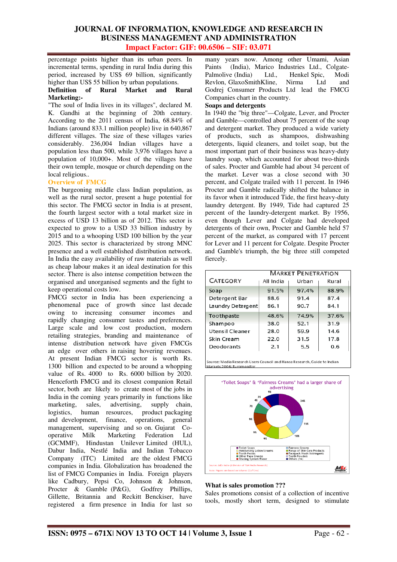percentage points higher than its urban peers. In incremental terms, spending in rural India during this period, increased by US\$ 69 billion, significantly higher than US\$ 55 billion by urban populations.

### **Definition of Rural Market and Rural Marketing:-**

"The soul of India lives in its villages", declared M. K. Gandhi at the beginning of 20th century. According to the 2011 census of India, 68.84% of Indians (around 833.1 million people) live in 640,867 different villages. The size of these villages varies considerably. 236,004 Indian villages have a population less than 500, while 3,976 villages have a population of 10,000+. Most of the villages have their own temple, mosque or church depending on the local religious..

## **Overview of FMCG**

The burgeoning middle class Indian population, as well as the rural sector, present a huge potential for this sector. The FMCG sector in India is at present, the fourth largest sector with a total market size in excess of USD 13 billion as of 2012. This sector is expected to grow to a USD 33 billion industry by 2015 and to a whooping USD 100 billion by the year 2025. This sector is characterized by strong MNC presence and a well established distribution network. In India the easy availability of raw materials as well as cheap labour makes it an ideal destination for this sector. There is also intense competition between the organised and unorganised segments and the fight to keep operational costs low.

FMCG sector in India has been experiencing a phenomenal pace of growth since last decade owing to increasing consumer incomes and rapidly changing consumer tastes and preferences. Large scale and low cost production, modern retailing strategies, branding and maintenance of intense distribution network have given FMCGs an edge over others in raising hovering revenues. At present Indian FMCG sector is worth Rs. 1300 billion and expected to be around a whopping value of Rs. 4000 to Rs. 6000 billion by 2020. Henceforth FMCG and its closest companion Retail sector, both are likely to create most of the jobs in India in the coming years primarily in functions like marketing, sales, advertising, supply chain, logistics, human resources, product packaging and development, finance, operations, general management, supervising and so on. Gujarat Co-<br>operative Milk Marketing Federation Ltd Federation Ltd (GCMMF), Hindustan Unilever Limited (HUL), Dabur India, Nestlé India and Indian Tobacco Company (ITC) Limited are the oldest FMCG companies in India. Globalization has broadened the list of FMCG Companies in India. Foreign players like Cadbury, Pepsi Co, Johnson & Johnson, Procter & Gamble (P&G), Godfrey Phillips, Gillette, Britannia and Reckitt Benckiser, have registered a firm presence in India for last so

many years now. Among other Umami, Asian Paints (India), Marico Industries Ltd., Colgate-Palmolive (India) Ltd., Henkel Spic, Modi Revlon, GlaxoSmithKline, Nirma Ltd and Godrej Consumer Products Ltd lead the FMCG Companies chart in the country.

#### **Soaps and detergents**

In 1940 the "big three"—Colgate, Lever, and Procter and Gamble—controlled about 75 percent of the soap and detergent market. They produced a wide variety of products, such as shampoos, dishwashing detergents, liquid cleaners, and toilet soap, but the most important part of their business was heavy-duty laundry soap, which accounted for about two-thirds of sales. Procter and Gamble had about 34 percent of the market. Lever was a close second with 30 percent, and Colgate trailed with 11 percent. In 1946 Procter and Gamble radically shifted the balance in its favor when it introduced Tide, the first heavy-duty laundry detergent. By 1949, Tide had captured 25 percent of the laundry-detergent market. By 1956, even though Lever and Colgate had developed detergents of their own, Procter and Gamble held 57 percent of the market, as compared with 17 percent for Lever and 11 percent for Colgate. Despite Procter and Gamble's triumph, the big three still competed fiercely.

| <b>MARKET PENETRATION</b> |           |       |       |  |  |
|---------------------------|-----------|-------|-------|--|--|
| <b>CATEGORY</b>           | All India | Urban | Rural |  |  |
| Soap                      | 91.5%     | 97.4% | 88.9% |  |  |
| Detergent Bar             | 88.6      | 91.4  | 87.4  |  |  |
| Laundry Detergent         | 86.1      | 90.7  | 84.1  |  |  |
| Toothpaste                | 48.6%     | 74.9% | 37.6% |  |  |
| Shampoo                   | 38.0      | 52.1  | 31.9  |  |  |
| Utensil Cleaner           | 28.0      | 59.9  | 14.6  |  |  |
| Skin Cream                | 22.0      | 31.5  | 17.8  |  |  |
| Deodorants                | 2.1       | 5.5   | 0.6   |  |  |

Source: Media Research Users Council and Hansa Research, Guide to Indian Markets 2006: Euromonitor



### **What is sales promotion ???**

Sales promotions consist of a collection of incentive tools, mostly short term, designed to stimulate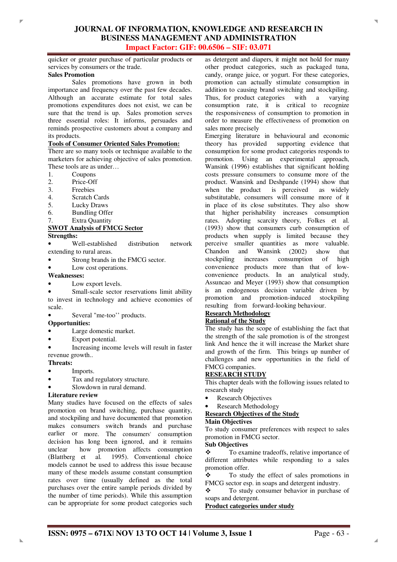quicker or greater purchase of particular products or services by consumers or the trade.

### **Sales Promotion**

Î.

 Sales promotions have grown in both importance and frequency over the past few decades. Although an accurate estimate for total sales promotions expenditures does not exist, we can be sure that the trend is up. Sales promotion serves three essential roles: It informs, persuades and reminds prospective customers about a company and its products.

#### **Tools of Consumer Oriented Sales Promotion:**

There are so many tools or technique available to the marketers for achieving objective of sales promotion. These tools are as under…

- 1. Coupons
- 2. Price-Off
- 3. Freebies
- 4. Scratch Cards
- 5. Lucky Draws
- 6. Bundling Offer
- 7. Extra Quantity

#### **SWOT Analysis of FMCG Sector Strengths:**

- Well-established distribution network extending to rural areas.
- Strong brands in the FMCG sector.
- Low cost operations.

### **Weaknesses:**

- Low export levels.
- Small-scale sector reservations limit ability to invest in technology and achieve economies of scale.
- Several "me-too" products.

#### **Opportunities:**

- Large domestic market.
- Export potential.

• Increasing income levels will result in faster revenue growth..

#### **Threats:**

- Imports.
- Tax and regulatory structure.
- Slowdown in rural demand.

#### **Literature review**

Many studies have focused on the effects of sales promotion on brand switching, purchase quantity, and stockpiling and have documented that promotion makes consumers switch brands and purchase earlier or more. The consumers' consumption decision has long been ignored, and it remains<br>unclear how promotion affects consumption how promotion affects consumption (Blattberg et al. 1995). Conventional choice models cannot be used to address this issue because many of these models assume constant consumption rates over time (usually defined as the total purchases over the entire sample periods divided by the number of time periods). While this assumption can be appropriate for some product categories such as detergent and diapers, it might not hold for many other product categories, such as packaged tuna, candy, orange juice, or yogurt. For these categories, promotion can actually stimulate consumption in addition to causing brand switching and stockpiling. Thus, for product categories with a varying consumption rate, it is critical to recognize the responsiveness of consumption to promotion in order to measure the effectiveness of promotion on sales more precisely

Emerging literature in behavioural and economic theory has provided supporting evidence that consumption for some product categories responds to promotion. Using an experimental approach, Wansink (1996) establishes that significant holding costs pressure consumers to consume more of the product. Wansink and Deshpande (1994) show that when the product is perceived as widely substitutable, consumers will consume more of it in place of its close substitutes. They also show that higher perishability increases consumption rates. Adopting scarcity theory, Folkes et al. (1993) show that consumers curb consumption of products when supply is limited because they perceive smaller quantities as more valuable. Chandon and Wansink (2002) show that stockpiling increases consumption of high convenience products more than that of lowconvenience products. In an analytical study, Assuncao and Meyer (1993) show that consumption is an endogenous decision variable driven by promotion and promotion-induced stockpiling resulting from forward-looking behaviour.

# **Research Methodology**

# **Rational of the Study**

The study has the scope of establishing the fact that the strength of the sale promotion is of the strongest link And hence the it will increase the Market share and growth of the firm. This brings up number of challenges and new opportunities in the field of FMCG companies.

#### **RESEARCH STUDY**

This chapter deals with the following issues related to research study

- **Research Objectives**
- Research Methodology

#### **Research Objectives of the Study**

#### **Main Objectives**

To study consumer preferences with respect to sales promotion in FMCG sector.

# **Sub Objectives**

 To examine tradeoffs, relative importance of different attributes while responding to a sales promotion offer.

• To study the effect of sales promotions in FMCG sector esp. in soaps and detergent industry.

\* To study consumer behavior in purchase of soaps and detergent.

**Product categories under study**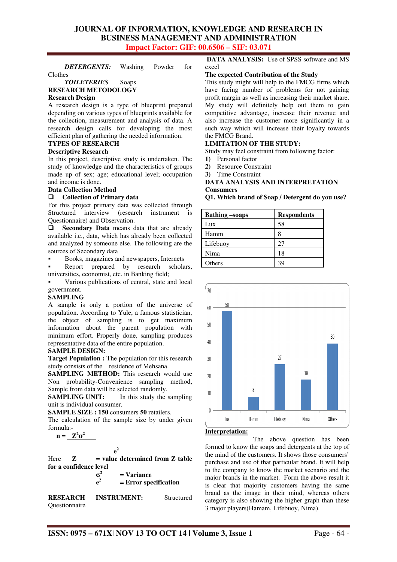*DETERGENTS:* Washing Powder for

Clothes

#### *TOILETERIES* Soaps **RESEARCH METODOLOGY**

#### **Research Design**

A research design is a type of blueprint prepared depending on various types of blueprints available for the collection, measurement and analysis of data. A research design calls for developing the most efficient plan of gathering the needed information.

## **TYPES OF RESEARCH**

#### **Descriptive Research**

In this project, descriptive study is undertaken. The study of knowledge and the characteristics of groups made up of sex; age; educational level; occupation and income is done.

## **Data Collection Method**

## - **Collection of Primary data**

For this project primary data was collected through Structured interview (research instrument is Questionnaire) and Observation.

 $\Box$  **Secondary Data** means data that are already available i.e., data, which has already been collected and analyzed by someone else. The following are the sources of Secondary data

Books, magazines and newspapers, Internets

 Report prepared by research scholars, universities, economist, etc. in Banking field;

 Various publications of central, state and local government.

#### **SAMPLING**

A sample is only a portion of the universe of population. According to Yule, a famous statistician, the object of sampling is to get maximum information about the parent population with minimum effort. Properly done, sampling produces representative data of the entire population.

#### **SAMPLE DESIGN:**

**Target Population :** The population for this research study consists of the residence of Mehsana.

**SAMPLING METHOD:** This research would use Non probability-Convenience sampling method, Sample from data will be selected randomly.

**SAMPLING UNIT:** In this study the sampling unit is individual consumer.

**SAMPLE SIZE : 150** consumers **50** retailers.

The calculation of the sample size by under given formula:-

 $n = \underline{Z^2 \sigma^2}$ 

$$
e^2
$$

 $Here \t Z = value determined from Z table$ **for a confidence level** 

 $\sigma^2$  **= Variance e<sup>2</sup> = Error specification** 

**RESEARCH INSTRUMENT:** Structured Questionnaire

**DATA ANALYSIS:** Use of SPSS software and MS excel

#### **The expected Contribution of the Study**

This study might will help to the FMCG firms which have facing number of problems for not gaining profit margin as well as increasing their market share. My study will definitely help out them to gain competitive advantage, increase their revenue and also increase the customer more significantly in a such way which will increase their loyalty towards the FMCG Brand.

## **LIMITATION OF THE STUDY:**

Study may feel constraint from following factor:

- **1)** Personal factor
- **2)** Resource Constraint
- **3)** Time Constraint

#### **DATA ANALYSIS AND INTERPRETATION Consumers**

**Q1. Which brand of Soap / Detergent do you use?** 

| <b>Bathing</b> -soaps | <b>Respondents</b> |
|-----------------------|--------------------|
| Lux                   | 58                 |
| Hamm                  | 8                  |
| Lifebuoy              | 27                 |
| Nima                  | 18                 |
| Others                | ٩q                 |



#### **Interpretation:**

The above question has been formed to know the soaps and detergents at the top of the mind of the customers. It shows those consumers' purchase and use of that particular brand. It will help to the company to know the market scenario and the major brands in the market. Form the above result it is clear that majority customers having the same brand as the image in their mind, whereas others category is also showing the higher graph than these 3 major players(Hamam, Lifebuoy, Nima).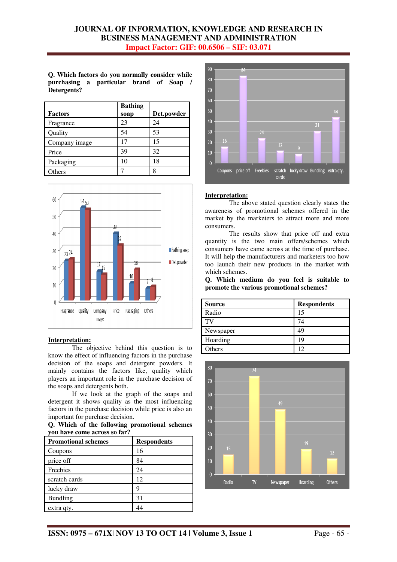**Q. Which factors do you normally consider while purchasing a particular brand of Soap / Detergents?** 

| <b>Factors</b> | <b>Bathing</b><br>soap | Det.powder |
|----------------|------------------------|------------|
| Fragrance      | 23                     | 24         |
| Quality        | 54                     | 53         |
| Company image  | 17                     | 15         |
| Price          | 39                     | 32         |
| Packaging      | 10                     | 18         |
| <b>Others</b>  |                        | 8          |



#### **Interpretation:**

 The objective behind this question is to know the effect of influencing factors in the purchase decision of the soaps and detergent powders. It mainly contains the factors like, quality which players an important role in the purchase decision of the soaps and detergents both.

 If we look at the graph of the soaps and detergent it shows quality as the most influencing factors in the purchase decision while price is also an important for purchase decision.

**Q. Which of the following promotional schemes you have come across so far?**

| <b>Promotional schemes</b> | <b>Respondents</b> |
|----------------------------|--------------------|
| Coupons                    | 16                 |
| price off                  | 84                 |
| Freebies                   | 24                 |
| scratch cards              | 12                 |
| lucky draw                 | q                  |
| <b>Bundling</b>            | 31                 |
| extra qty.                 |                    |



#### **Interpretation:**

 The above stated question clearly states the awareness of promotional schemes offered in the market by the marketers to attract more and more consumers.

 The results show that price off and extra quantity is the two main offers/schemes which consumers have came across at the time of purchase. It will help the manufacturers and marketers too how too launch their new products in the market with which schemes.

**Q. Which medium do you feel is suitable to promote the various promotional schemes?** 

| <b>Source</b> | <b>Respondents</b> |
|---------------|--------------------|
| Radio         | 15                 |
| TV            | 74                 |
| Newspaper     | 49                 |
| Hoarding      | 19                 |
| Others        | 12                 |

![](_page_4_Figure_15.jpeg)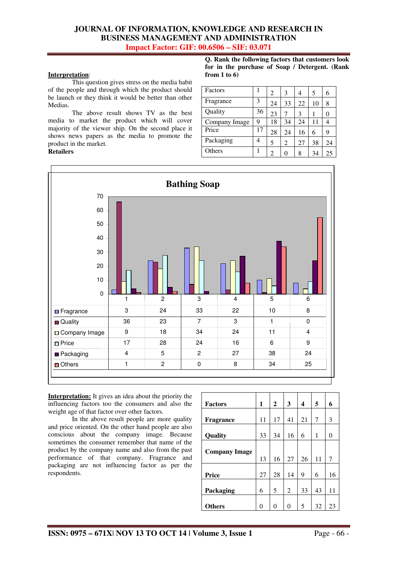### **Interpretation**:

 This question gives stress on the media habit of the people and through which the product should be launch or they think it would be better than other Medias.

 The above result shows TV as the best media to market the product which will cover majority of the viewer ship. On the second place it shows news papers as the media to promote the product in the market.

#### **Retailers**

**Q. Rank the following factors that customers look for in the purchase of Soap / Detergent. (Rank from 1 to 6)** 

| Factors       |    | $\overline{c}$ | 3              | 4  | 5  | 6  |
|---------------|----|----------------|----------------|----|----|----|
| Fragrance     | 3  | 24             | 33             | 22 | 10 | 8  |
| Quality       | 36 | 23             | 7              | 3  |    | 0  |
| Company Image | 9  | 18             | 34             | 24 | 11 |    |
| Price         | 17 | 28             | 24             | 16 | 6  | 9  |
| Packaging     | 4  | 5              | $\overline{c}$ | 27 | 38 | 24 |
| Others        |    | 2              |                | 8  | 34 | 25 |

![](_page_5_Figure_7.jpeg)

**Interpretation:** It gives an idea about the priority the influencing factors too the consumers and also the weight age of that factor over other factors.

 In the above result people are more quality and price oriented. On the other hand people are also conscious about the company image. Because sometimes the consumer remember that name of the product by the company name and also from the past performance of that company. Fragrance and packaging are not influencing factor as per the respondents.

| <b>Factors</b>       | 1  | $\mathbf{2}$ | 3              | 4  | 5  | 6  |
|----------------------|----|--------------|----------------|----|----|----|
|                      |    |              |                |    |    |    |
| Fragrance            | 11 | 17           | 41             | 21 | 7  | 3  |
|                      |    |              |                |    |    |    |
| Quality              | 33 | 34           | 16             | 6  | 1  | 0  |
|                      |    |              |                |    |    |    |
| <b>Company Image</b> |    |              |                |    |    |    |
|                      | 13 | 16           | 27             | 26 | 11 | 7  |
|                      |    |              |                |    |    |    |
| Price                | 27 | 28           | 14             | 9  | 6  | 16 |
|                      |    |              |                |    |    |    |
| Packaging            | 6  | 5            | $\overline{2}$ | 33 | 43 | 11 |
|                      |    |              |                |    |    |    |
| <b>Others</b>        | 0  | 0            | 0              | 5  | 32 | 23 |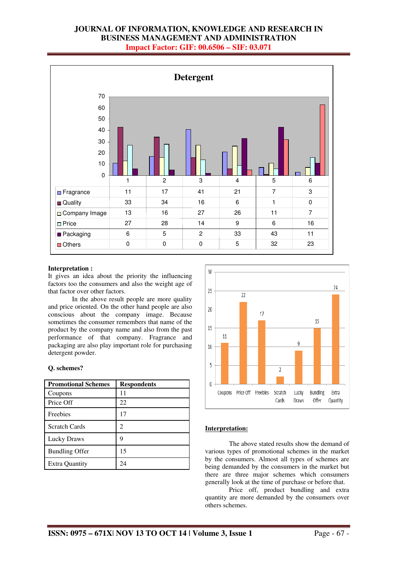![](_page_6_Figure_1.jpeg)

#### **Interpretation :**

It gives an idea about the priority the influencing factors too the consumers and also the weight age of that factor over other factors.

 In the above result people are more quality and price oriented. On the other hand people are also conscious about the company image. Because sometimes the consumer remembers that name of the product by the company name and also from the past performance of that company. Fragrance and packaging are also play important role for purchasing detergent powder.

#### **Q. schemes?**

| <b>Promotional Schemes</b> | <b>Respondents</b> |
|----------------------------|--------------------|
| Coupons                    | 11                 |
| Price Off                  | 22                 |
| Freebies                   | 17                 |
| <b>Scratch Cards</b>       | 2                  |
| Lucky Draws                | 9                  |
| <b>Bundling Offer</b>      | 15                 |
| <b>Extra Quantity</b>      | 24                 |

![](_page_6_Figure_7.jpeg)

## **Interpretation:**

 The above stated results show the demand of various types of promotional schemes in the market by the consumers. Almost all types of schemes are being demanded by the consumers in the market but there are three major schemes which consumers generally look at the time of purchase or before that.

 Price off, product bundling and extra quantity are more demanded by the consumers over others schemes.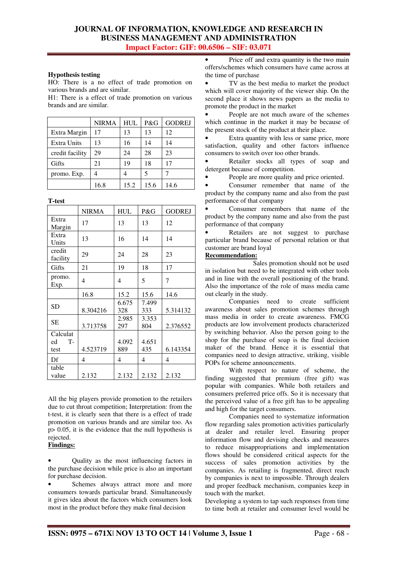### **Hypothesis testing**

HO: There is a no effect of trade promotion on various brands and are similar.

H1: There is a effect of trade promotion on various brands and are similar.

|                 | <b>NIRMA</b> | <b>HUL</b> | P&G  | <b>GODREJ</b> |
|-----------------|--------------|------------|------|---------------|
| Extra Margin    | 17           | 13         | 13   | 12            |
| Extra Units     | 13           | 16         | 14   | 14            |
| credit facility | 29           | 24         | 28   | 23            |
| Gifts           | 21           | 19         | 18   | 17            |
| promo. Exp.     | 4            |            | 5    |               |
|                 | 16.8         | 15.2       | 15.6 | 14.6          |

**T-test** 

|                              | <b>NIRMA</b> | <b>HUL</b>   | P&G          | <b>GODREJ</b> |
|------------------------------|--------------|--------------|--------------|---------------|
| Extra<br>Margin              | 17           | 13           | 13           | 12            |
| Extra<br>Units               | 13           | 16           | 14           | 14            |
| credit<br>facility           | 29           | 24           | 28           | 23            |
| Gifts                        | 21           | 19           | 18           | 17            |
| promo.<br>Exp.               | 4            | 4            | 5            | 7             |
|                              | 16.8         | 15.2         | 15.6         | 14.6          |
| <b>SD</b>                    | 8.304216     | 6.675<br>328 | 7.499<br>333 | 5.314132      |
| <b>SE</b>                    | 3.713758     | 2.985<br>297 | 3.353<br>804 | 2.376552      |
| Calculat<br>T-<br>ed<br>test | 4.523719     | 4.092<br>889 | 4.651<br>435 | 6.143354      |
| Df                           | 4            | 4            | 4            | 4             |
| table<br>value               | 2.132        | 2.132        | 2.132        | 2.132         |

All the big players provide promotion to the retailers due to cut throat competition; Interpretation: from the t-test, it is clearly seen that there is a effect of trade promotion on various brands and are similar too. As p> 0.05, it is the evidence that the null hypothesis is rejected.

## **Findings:**

• Quality as the most influencing factors in the purchase decision while price is also an important for purchase decision.

Schemes always attract more and more consumers towards particular brand. Simultaneously it gives idea about the factors which consumers look most in the product before they make final decision

Price off and extra quantity is the two main offers/schemes which consumers have came across at the time of purchase

TV as the best media to market the product which will cover majority of the viewer ship. On the second place it shows news papers as the media to promote the product in the market

• People are not much aware of the schemes which continue in the market it may be because of the present stock of the product at their place.

Extra quantity with less or same price, more satisfaction, quality and other factors influence consumers to switch over too other brands.

Retailer stocks all types of soap and detergent because of competition.

People are more quality and price oriented.

Consumer remember that name of the product by the company name and also from the past performance of that company

• Consumer remembers that name of the product by the company name and also from the past performance of that company

Retailers are not suggest to purchase particular brand because of personal relation or that customer are brand loyal

#### **Recommendation:**

 Sales promotion should not be used in isolation but need to be integrated with other tools and in line with the overall positioning of the brand. Also the importance of the role of mass media came out clearly in the study.

 Companies need to create sufficient awareness about sales promotion schemes through mass media in order to create awareness. FMCG products are low involvement products characterized by switching behavior. Also the person going to the shop for the purchase of soap is the final decision maker of the brand. Hence it is essential that companies need to design attractive, striking, visible POPs for scheme announcements.

 With respect to nature of scheme, the finding suggested that premium (free gift) was popular with companies. While both retailers and consumers preferred price offs. So it is necessary that the perceived value of a free gift has to be appealing and high for the target consumers.

 Companies need to systematize information flow regarding sales promotion activities particularly at dealer and retailer level. Ensuring proper information flow and devising checks and measures to reduce misappropriations and implementation flows should be considered critical aspects for the success of sales promotion activities by the companies. As retailing is fragmented, direct reach by companies is next to impossible. Through dealers and proper feedback mechanism, companies keep in touch with the market.

Developing a system to tap such responses from time to time both at retailer and consumer level would be